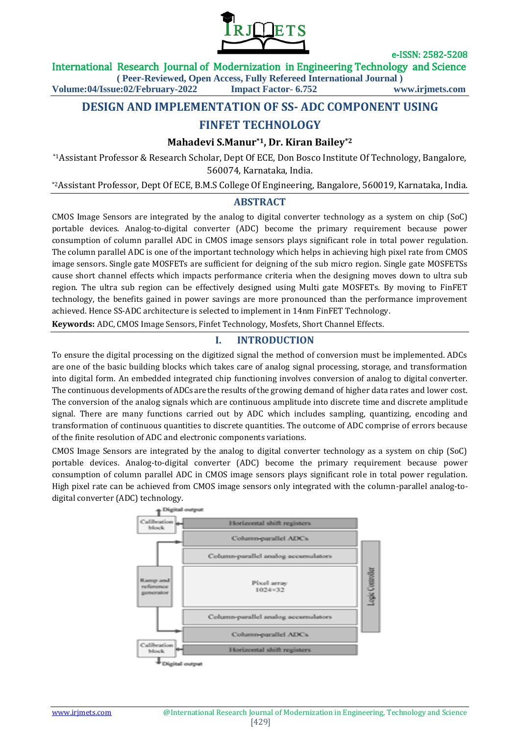

#### International Research Journal of Modernization in Engineering Technology and Science

**( Peer-Reviewed, Open Access, Fully Refereed International Journal )**

**Volume:04/Issue:02/February-2022 Impact Factor- 6.752 www.irjmets.com**

# **DESIGN AND IMPLEMENTATION OF SS- ADC COMPONENT USING**

# **FINFET TECHNOLOGY**

## **Mahadevi S.Manur\*1, Dr. Kiran Bailey\*2**

\*1Assistant Professor & Research Scholar, Dept Of ECE, Don Bosco Institute Of Technology, Bangalore, 560074, Karnataka, India.

\*2Assistant Professor, Dept Of ECE, B.M.S College Of Engineering, Bangalore, 560019, Karnataka, India.

## **ABSTRACT**

CMOS Image Sensors are integrated by the analog to digital converter technology as a system on chip (SoC) portable devices. Analog-to-digital converter (ADC) become the primary requirement because power consumption of column parallel ADC in CMOS image sensors plays significant role in total power regulation. The column parallel ADC is one of the important technology which helps in achieving high pixel rate from CMOS image sensors. Single gate MOSFETs are sufficient for deigning of the sub micro region. Single gate MOSFETSs cause short channel effects which impacts performance criteria when the designing moves down to ultra sub region. The ultra sub region can be effectively designed using Multi gate MOSFETs. By moving to FinFET technology, the benefits gained in power savings are more pronounced than the performance improvement achieved. Hence SS-ADC architecture is selected to implement in 14nm FinFET Technology.

**Keywords:** ADC, CMOS Image Sensors, Finfet Technology, Mosfets, Short Channel Effects.

# **I. INTRODUCTION**

To ensure the digital processing on the digitized signal the method of conversion must be implemented. ADCs are one of the basic building blocks which takes care of analog signal processing, storage, and transformation into digital form. An embedded integrated chip functioning involves conversion of analog to digital converter. The continuous developments of ADCs are the results of the growing demand of higher data rates and lower cost. The conversion of the analog signals which are continuous amplitude into discrete time and discrete amplitude signal. There are many functions carried out by ADC which includes sampling, quantizing, encoding and transformation of continuous quantities to discrete quantities. The outcome of ADC comprise of errors because of the finite resolution of ADC and electronic components variations.

CMOS Image Sensors are integrated by the analog to digital converter technology as a system on chip (SoC) portable devices. Analog-to-digital converter (ADC) become the primary requirement because power consumption of column parallel ADC in CMOS image sensors plays significant role in total power regulation. High pixel rate can be achieved from CMOS image sensors only integrated with the column-parallel analog-todigital converter (ADC) technology.<br> $\begin{array}{c} \uparrow \text{Dipert} \end{array}$ 

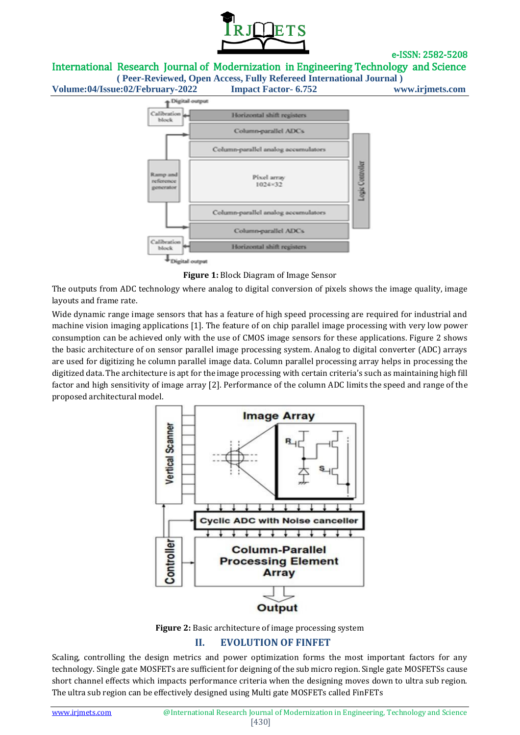

International Research Journal of Modernization in Engineering Technology and Science

**( Peer-Reviewed, Open Access, Fully Refereed International Journal )**





**Figure 1:** Block Diagram of Image Sensor

The outputs from ADC technology where analog to digital conversion of pixels shows the image quality, image layouts and frame rate.

Wide dynamic range image sensors that has a feature of high speed processing are required for industrial and machine vision imaging applications [1]. The feature of on chip parallel image processing with very low power consumption can be achieved only with the use of CMOS image sensors for these applications. Figure 2 shows the basic architecture of on sensor parallel image processing system. Analog to digital converter (ADC) arrays are used for digitizing he column parallel image data. Column parallel processing array helps in processing the digitized data. The architecture is apt for the image processing with certain criteria's such as maintaining high fill factor and high sensitivity of image array [2]. Performance of the column ADC limits the speed and range of the proposed architectural model.





# **II. EVOLUTION OF FINFET**

Scaling, controlling the design metrics and power optimization forms the most important factors for any technology. Single gate MOSFETs are sufficient for deigning of the sub micro region. Single gate MOSFETSs cause short channel effects which impacts performance criteria when the designing moves down to ultra sub region. The ultra sub region can be effectively designed using Multi gate MOSFETs called FinFETs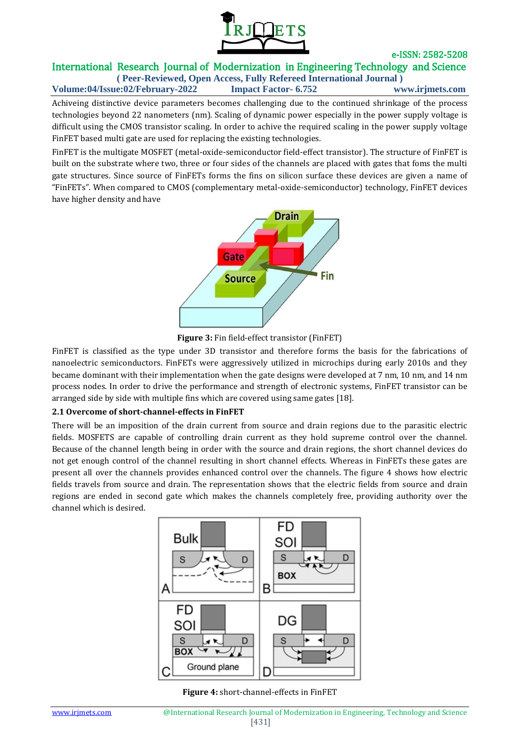

## e-ISSN: 2582-5208 International Research Journal of Modernization in Engineering Technology and Science

**( Peer-Reviewed, Open Access, Fully Refereed International Journal ) Volume:04/Issue:02/February-2022 Impact Factor- 6.752 www.irjmets.com**

Achiveing distinctive device parameters becomes challenging due to the continued shrinkage of the process technologies beyond 22 nanometers (nm). Scaling of dynamic power especially in the power supply voltage is difficult using the CMOS transistor scaling. In order to achive the required scaling in the power supply voltage FinFET based multi gate are used for replacing the existing technologies.

FinFET is the multigate MOSFET (metal-oxide-semiconductor field-effect transistor). The structure of FinFET is built on the substrate where two, three or four sides of the channels are placed with gates that foms the multi gate structures. Since source of FinFETs forms the fins on silicon surface these devices are given a name of "FinFETs". When compared to CMOS (complementary metal-oxide-semiconductor) technology, FinFET devices have higher density and have



**Figure 3:** Fin field-effect transistor (FinFET)

FinFET is classified as the type under 3D transistor and therefore forms the basis for the fabrications of nanoelectric semiconductors. FinFETs were aggressively utilized in microchips during early 2010s and they became dominant with their implementation when the gate designs were developed at 7 nm, 10 nm, and 14 nm process nodes. In order to drive the performance and strength of electronic systems, FinFET transistor can be arranged side by side with multiple fins which are covered using same gates [18].

#### **2.1 Overcome of short-channel-effects in FinFET**

There will be an imposition of the drain current from source and drain regions due to the parasitic electric fields. MOSFETS are capable of controlling drain current as they hold supreme control over the channel. Because of the channel length being in order with the source and drain regions, the short channel devices do not get enough control of the channel resulting in short channel effects. Whereas in FinFETs these gates are present all over the channels provides enhanced control over the channels. The figure 4 shows how electric fields travels from source and drain. The representation shows that the electric fields from source and drain regions are ended in second gate which makes the channels completely free, providing authority over the channel which is desired.



**Figure 4:** short-channel-effects in FinFET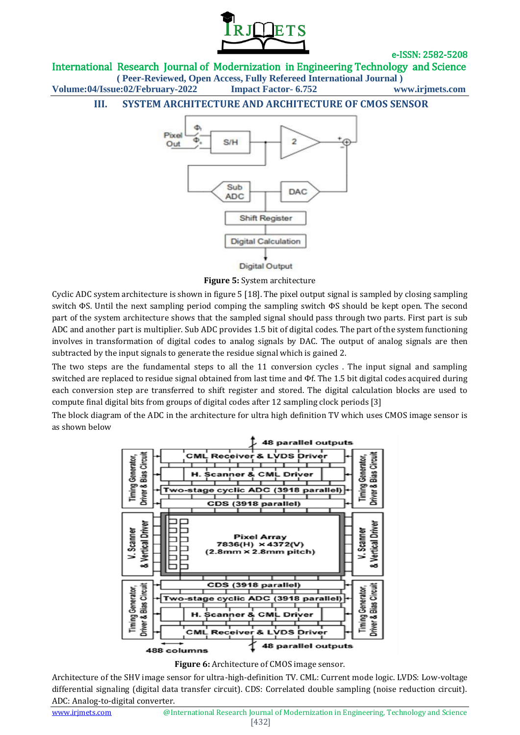

International Research Journal of Modernization in Engineering Technology and Science

**( Peer-Reviewed, Open Access, Fully Refereed International Journal ) Volume:04/Issue:02/February-2022 Impact Factor- 6.752 www.irjmets.com**

## **III. SYSTEM ARCHITECTURE AND ARCHITECTURE OF CMOS SENSOR**



**Figure 5:** System architecture

Cyclic ADC system architecture is shown in figure 5 [18]. The pixel output signal is sampled by closing sampling switch ΦS. Until the next sampling period comping the sampling switch ΦS should be kept open. The second part of the system architecture shows that the sampled signal should pass through two parts. First part is sub ADC and another part is multiplier. Sub ADC provides 1.5 bit of digital codes. The part of the system functioning involves in transformation of digital codes to analog signals by DAC. The output of analog signals are then subtracted by the input signals to generate the residue signal which is gained 2.

The two steps are the fundamental steps to all the 11 conversion cycles . The input signal and sampling switched are replaced to residue signal obtained from last time and Φf. The 1.5 bit digital codes acquired during each conversion step are transferred to shift register and stored. The digital calculation blocks are used to compute final digital bits from groups of digital codes after 12 sampling clock periods [3]

The block diagram of the ADC in the architecture for ultra high definition TV which uses CMOS image sensor is as shown below



**Figure 6:** Architecture of CMOS image sensor.

Architecture of the SHV image sensor for ultra-high-definition TV. CML: Current mode logic. LVDS: Low-voltage differential signaling (digital data transfer circuit). CDS: Correlated double sampling (noise reduction circuit). ADC: Analog-to-digital converter.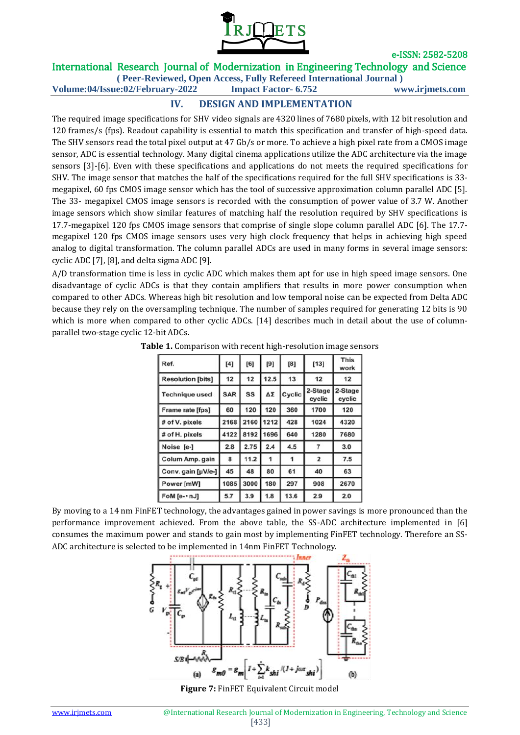

# International Research Journal of Modernization in Engineering Technology and Science

**( Peer-Reviewed, Open Access, Fully Refereed International Journal ) Volume:04/Issue:02/February-2022 Impact Factor- 6.752 www.irjmets.com**

# **IV. DESIGN AND IMPLEMENTATION**

The required image specifications for SHV video signals are 4320 lines of 7680 pixels, with 12 bit resolution and 120 frames/s (fps). Readout capability is essential to match this specification and transfer of high-speed data. The SHV sensors read the total pixel output at 47 Gb/s or more. To achieve a high pixel rate from a CMOS image sensor, ADC is essential technology. Many digital cinema applications utilize the ADC architecture via the image sensors [3]-[6]. Even with these specifications and applications do not meets the required specifications for SHV. The image sensor that matches the half of the specifications required for the full SHV specifications is 33 megapixel, 60 fps CMOS image sensor which has the tool of successive approximation column parallel ADC [5]. The 33- megapixel CMOS image sensors is recorded with the consumption of power value of 3.7 W. Another image sensors which show similar features of matching half the resolution required by SHV specifications is 17.7-megapixel 120 fps CMOS image sensors that comprise of single slope column parallel ADC [6]. The 17.7 megapixel 120 fps CMOS image sensors uses very high clock frequency that helps in achieving high speed analog to digital transformation. The column parallel ADCs are used in many forms in several image sensors: cyclic ADC [7], [8], and delta sigma ADC [9].

A/D transformation time is less in cyclic ADC which makes them apt for use in high speed image sensors. One disadvantage of cyclic ADCs is that they contain amplifiers that results in more power consumption when compared to other ADCs. Whereas high bit resolution and low temporal noise can be expected from Delta ADC because they rely on the oversampling technique. The number of samples required for generating 12 bits is 90 which is more when compared to other cyclic ADCs. [14] describes much in detail about the use of columnparallel two-stage cyclic 12-bit ADCs.

| Ref.                     | [4]        | [6]  | [9]  | [8]    | $[13]$            | <b>This</b><br>work |
|--------------------------|------------|------|------|--------|-------------------|---------------------|
| <b>Resolution [bits]</b> | 12         | 12   | 12.5 | 13     | 12                | 12                  |
| <b>Technique used</b>    | <b>SAR</b> | SS   | ΔΣ   | Cyclic | 2-Stage<br>cyclic | 2-Stage<br>cyclic   |
| Frame rate [fps]         | 60         | 120  | 120  | 360    | 1700              | 120                 |
| # of V. pixels           | 2168       | 2160 | 1212 | 428    | 1024              | 4320                |
| # of H. pixels           | 4122       | 8192 | 1696 | 640    | 1280              | 7680                |
| Noise [e-]               | 2.8        | 2.75 | 2.4  | 4.5    |                   | 3.0                 |
| Colum Amp. gain          | 8          | 11.2 | 1    | 1      | 2                 | 7.5                 |
| Conv. gain [µV/e-]       | 45         | 48   | 80   | 61     | 40                | 63                  |
| Power [mW]               | 1085       | 3000 | 180  | 297    | 908               | 2670                |
| FoM [e- · nJ]            | 5.7        | 3.9  | 1.8  | 13.6   | 2.9               | 2.0                 |

**Table 1.** Comparison with recent high-resolution image sensors

By moving to a 14 nm FinFET technology, the advantages gained in power savings is more pronounced than the performance improvement achieved. From the above table, the SS-ADC architecture implemented in [6] consumes the maximum power and stands to gain most by implementing FinFET technology. Therefore an SS-ADC architecture is selected to be implemented in 14nm FinFET Technology.



**Figure 7:** FinFET Equivalent Circuit model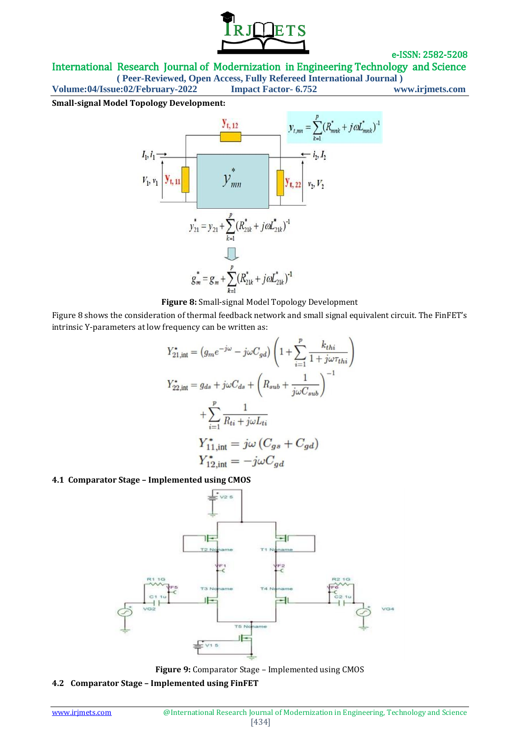

International Research Journal of Modernization in Engineering Technology and Science

**( Peer-Reviewed, Open Access, Fully Refereed International Journal )**

**Volume:04/Issue:02/February-2022 Impact Factor- 6.752 www.irjmets.com**

**Small-signal Model Topology Development:**





Figure 8 shows the consideration of thermal feedback network and small signal equivalent circuit. The FinFET's intrinsic Y-parameters at low frequency can be written as:

$$
Y_{21, \text{int}}^{\star} = (g_m e^{-j\omega} - j\omega C_{gd}) \left( 1 + \sum_{i=1}^p \frac{k_{thi}}{1 + j\omega \tau_{thi}} \right)
$$
  

$$
Y_{22, \text{int}}^{\star} = g_{ds} + j\omega C_{ds} + \left( R_{sub} + \frac{1}{j\omega C_{sub}} \right)^{-1}
$$
  

$$
+ \sum_{i=1}^p \frac{1}{R_{ti} + j\omega L_{ti}}
$$
  

$$
Y_{11, \text{int}}^{\star} = j\omega \left( C_{gs} + C_{gd} \right)
$$
  

$$
Y_{12, \text{int}}^{\star} = -j\omega C_{gd}
$$

## **4.1 Comparator Stage – Implemented using CMOS**



**Figure 9:** Comparator Stage – Implemented using CMOS

**4.2 Comparator Stage – Implemented using FinFET**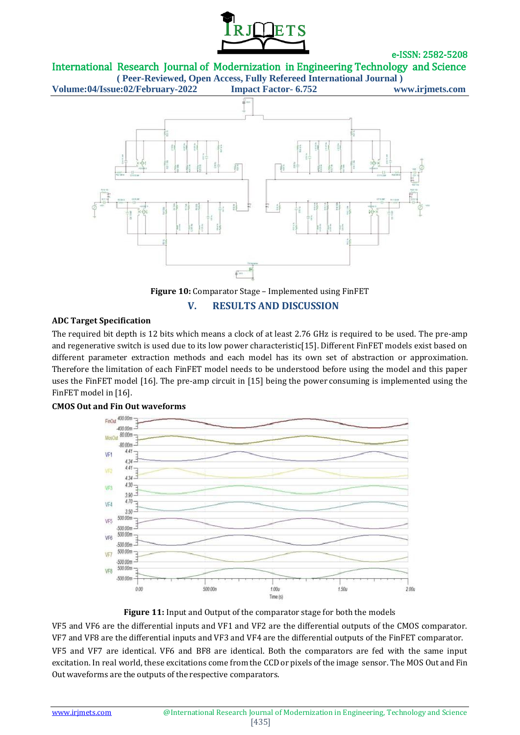

International Research Journal of Modernization in Engineering Technology and Science

**( Peer-Reviewed, Open Access, Fully Refereed International Journal ) Volume:04/Issue:02/February-2022 Impact Factor- 6.752 www.irjmets.com**





#### **ADC Target Specification**

The required bit depth is 12 bits which means a clock of at least 2.76 GHz is required to be used. The pre-amp and regenerative switch is used due to its low power characteristic[15]. Different FinFET models exist based on different parameter extraction methods and each model has its own set of abstraction or approximation. Therefore the limitation of each FinFET model needs to be understood before using the model and this paper uses the FinFET model [16]. The pre-amp circuit in [15] being the power consuming is implemented using the FinFET model in [16].



## **CMOS Out and Fin Out waveforms**

#### **Figure 11:** Input and Output of the comparator stage for both the models

VF5 and VF6 are the differential inputs and VF1 and VF2 are the differential outputs of the CMOS comparator. VF7 and VF8 are the differential inputs and VF3 and VF4 are the differential outputs of the FinFET comparator. VF5 and VF7 are identical. VF6 and BF8 are identical. Both the comparators are fed with the same input excitation. In real world, these excitations come from the CCD or pixels of the image sensor. The MOS Out and Fin Out waveforms are the outputs of the respective comparators.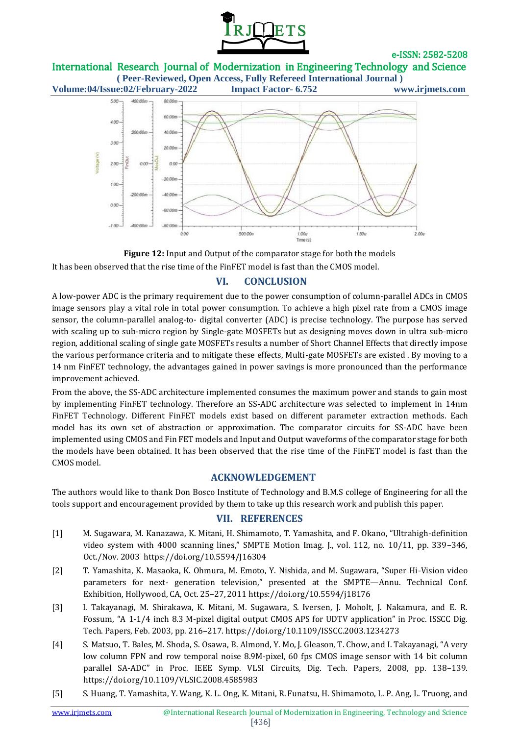

International Research Journal of Modernization in Engineering Technology and Science **( Peer-Reviewed, Open Access, Fully Refereed International Journal )**





**Figure 12:** Input and Output of the comparator stage for both the models It has been observed that the rise time of the FinFET model is fast than the CMOS model.

# **VI. CONCLUSION**

A low-power ADC is the primary requirement due to the power consumption of column-parallel ADCs in CMOS image sensors play a vital role in total power consumption. To achieve a high pixel rate from a CMOS image sensor, the column-parallel analog-to- digital converter (ADC) is precise technology. The purpose has served with scaling up to sub-micro region by Single-gate MOSFETs but as designing moves down in ultra sub-micro region, additional scaling of single gate MOSFETs results a number of Short Channel Effects that directly impose the various performance criteria and to mitigate these effects, Multi-gate MOSFETs are existed . By moving to a 14 nm FinFET technology, the advantages gained in power savings is more pronounced than the performance improvement achieved.

From the above, the SS-ADC architecture implemented consumes the maximum power and stands to gain most by implementing FinFET technology. Therefore an SS-ADC architecture was selected to implement in 14nm FinFET Technology. Different FinFET models exist based on different parameter extraction methods. Each model has its own set of abstraction or approximation. The comparator circuits for SS-ADC have been implemented using CMOS and Fin FET models and Input and Output waveforms of the comparator stage for both the models have been obtained. It has been observed that the rise time of the FinFET model is fast than the CMOS model.

# **ACKNOWLEDGEMENT**

The authors would like to thank Don Bosco Institute of Technology and B.M.S college of Engineering for all the tools support and encouragement provided by them to take up this research work and publish this paper.

## **VII. REFERENCES**

- [1] M. Sugawara, M. Kanazawa, K. Mitani, H. Shimamoto, T. Yamashita, and F. Okano, "Ultrahigh-definition video system with 4000 scanning lines," SMPTE Motion Imag. J., vol. 112, no. 10/11, pp. 339–346, Oct./Nov. 2003 https://doi.org/10.5594/J16304
- [2] T. Yamashita, K. Masaoka, K. Ohmura, M. Emoto, Y. Nishida, and M. Sugawara, "Super Hi-Vision video parameters for next- generation television," presented at the SMPTE—Annu. Technical Conf. Exhibition, Hollywood, CA, Oct. 25–27, 2011 https://doi.org/10.5594/j18176
- [3] I. Takayanagi, M. Shirakawa, K. Mitani, M. Sugawara, S. Iversen, J. Moholt, J. Nakamura, and E. R. Fossum, "A 1-1/4 inch 8.3 M-pixel digital output CMOS APS for UDTV application" in Proc. ISSCC Dig. Tech. Papers, Feb. 2003, pp. 216–217. https://doi.org/10.1109/ISSCC.2003.1234273
- [4] S. Matsuo, T. Bales, M. Shoda, S. Osawa, B. Almond, Y. Mo, J. Gleason, T. Chow, and I. Takayanagi, "A very low column FPN and row temporal noise 8.9M-pixel, 60 fps CMOS image sensor with 14 bit column parallel SA-ADC" in Proc. IEEE Symp. VLSI Circuits, Dig. Tech. Papers, 2008, pp. 138–139. https://doi.org/10.1109/VLSIC.2008.4585983
- [5] S. Huang, T. Yamashita, Y. Wang, K. L. Ong, K. Mitani, R. Funatsu, H. Shimamoto, L. P. Ang, L. Truong, and